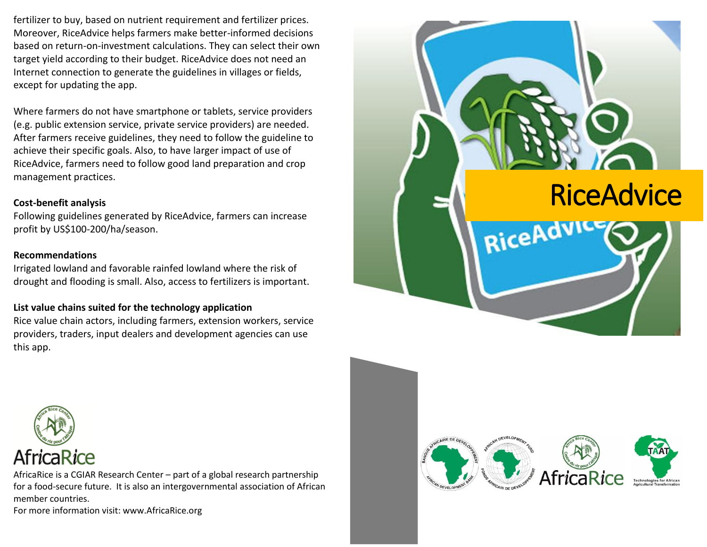fertilizer to buy, based on nutrient requirement and fertilizer prices. Moreover, RiceAdvice helps farmers make better-informed decisions based on return-on-investment calculations. They can select their own target yield according to their budget. RiceAdvice does not need an Internet connection to generate the guidelines in villages or fields, except for updating the app.

Where farmers do not have smartphone or tablets, service providers (e.g. public extension service, private service providers) are needed. After farmers receive guidelines, they need to follow the guideline to achieve their specific goals. Also, to have larger impact of use of RiceAdvice, farmers need to follow good land preparation and crop management practices.

## **Cost-benefit analysis**

Following guidelines generated by RiceAdvice, farmers can increase profit by US\$100-200/ha/season.

## **Recommendations**

Irrigated lowland and favorable rainfed lowland where the risk of drought and flooding is small. Also, access to fertilizers is important.

## **List value chains suited for the technology application**

Rice value chain actors, including farmers, extension workers, service providers, traders, input dealers and development agencies can use this app.



AfricaRice is a CGIAR Research Center – part of a global research partnership for a food-secure future. It is also an intergovernmental association of African member countries.

For more information visit: www.AfricaRice.org